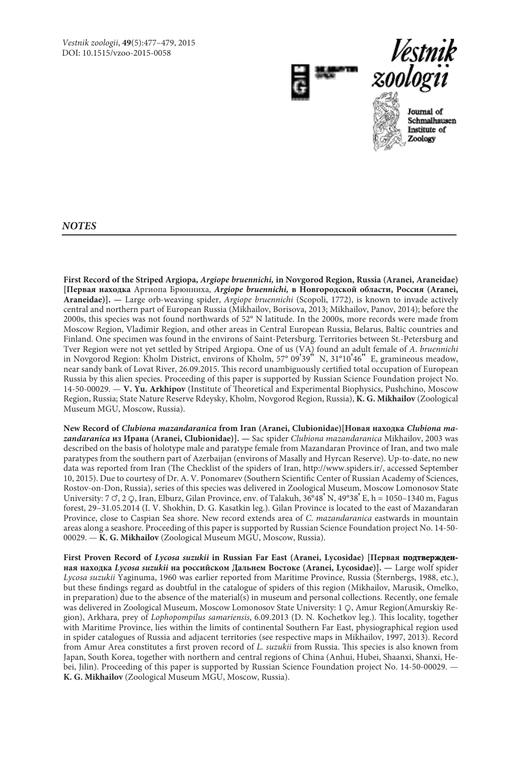



Journal of Schmalhausen Institute of Zoology

*NOTES*

**First Record of the Striped Argiopa,** *Argiope bruennichi,* **in Novgorod Region, Russia (Aranei, Araneidae) [Первая находка** Аргиопа Брюнниха, *Argiope bruennichi,* **в Новгородской области, Россия (Aranei, Araneidae)]. —** Large orb-weaving spider, *Argiope bruennichi* (Scopoli, 1772), is known to invade actively central and northern part of European Russia (Mikhailov, Borisova, 2013; Mikhailov, Panov, 2014); before the 2000s, this species was not found northwards of 52° N latitude. In the 2000s, more records were made from Moscow Region, Vladimir Region, and other areas in Central European Russia, Belarus, Baltic countries and Finland. One specimen was found in the environs of Saint-Petersburg. Territories between St.-Petersburg and Tver Region were not yet settled by Striped Argiopa. One of us (VA) found an adult female of *A*. *bruennichi* in Novgorod Region: Kholm District, environs of Kholm, 57° 09'39" N, 31°10'46" E, gramineous meadow, near sandy bank of Lovat River, 26.09.2015. This record unambiguously certified total occupation of European Russia by this alien species. Proceeding of this paper is supported by Russian Science Foundation project No. 14-50-00029. — **V. Yu. Arkhipov** (Institute of Theoretical and Experimental Biophysics, Pushchino, Moscow Region, Russia; State Nature Reserve Rdeysky, Kholm, Novgorod Region, Russia), **K. G. Mikhailov** (Zoological Museum MGU, Moscow, Russia).

**New Record of** *Clubiona mazandaranica* **from Iran (Aranei, Clubionidae)[Новая находка** *Clubiona mazandaranica* **из Ирана (Aranei, Clubionidae)]. —** Sac spider *Clubiona mazandaranica* Mikhailov, 2003 was described on the basis of holotype male and paratype female from Mazandaran Province of Iran, and two male paratypes from the southern part of Azerbaijan (environs of Masally and Hyrcan Reserve). Up-to-date, no new data was reported from Iran (The Checklist of the spiders of Iran, http://www.spiders.ir/, accessed September 10, 2015). Due to courtesy of Dr. A. V. Ponomarev (Southern Scientific Center of Russian Academy of Sciences, Rostov-on-Don, Russia), series of this species was delivered in Zoological Museum, Moscow Lomonosov State University: 7  $\sigma$ , 2  $\circ$ , Iran, Elburz, Gilan Province, env. of Talakuh,  $36^{\circ}48'$  N,  $49^{\circ}38'$  E, h = 1050–1340 m, Fagus forest, 29–31.05.2014 (I. V. Shokhin, D. G. Kasatkin leg.). Gilan Province is located to the east of Mazandaran Province, close to Caspian Sea shore. New record extends area of *C*. *mazandaranica* eastwards in mountain areas along a seashore. Proceeding of this paper is supported by Russian Science Foundation project No. 14-50- 00029. — **K. G. Mikhailov** (Zoological Museum MGU, Moscow, Russia).

First Proven Record of *Lycosa suzukii* in Russian Far East (Aranei, Lycosidae) [Первая подтвержден**ная находка** *Lycosa suzukii* **на российском Дальнем Востоке (Aranei, Lycosidae)]. —** Large wolf spider *Lycosa suzukii* Yaginuma, 1960 was earlier reported from Maritime Province, Russia (Šternbergs, 1988, etc.), but these findings regard as doubtful in the catalogue of spiders of this region (Mikhailov, Marusik, Omelko, in preparation) due to the absence of the material(s) in museum and personal collections. Recently, one female was delivered in Zoological Museum, Moscow Lomonosov State University: 1 Q, Amur Region(Amurskiy Region), Arkhara, prey of *Lophopompilus samariensis*, 6.09.2013 (D. N. Kochetkov leg.). This locality, together with Maritime Province, lies within the limits of continental Southern Far East, physiographical region used in spider catalogues of Russia and adjacent territories (see respective maps in Mikhailov, 1997, 2013). Record from Amur Area constitutes a first proven record of *L. suzukii* from Russia. This species is also known from Japan, South Korea, together with northern and central regions of China (Anhui, Hubei, Shaanxi, Shanxi, Hebei, Jilin). Proceeding of this paper is supported by Russian Science Foundation project No. 14-50-00029. -**K. G. Mikhailov** (Zoological Museum MGU, Moscow, Russia).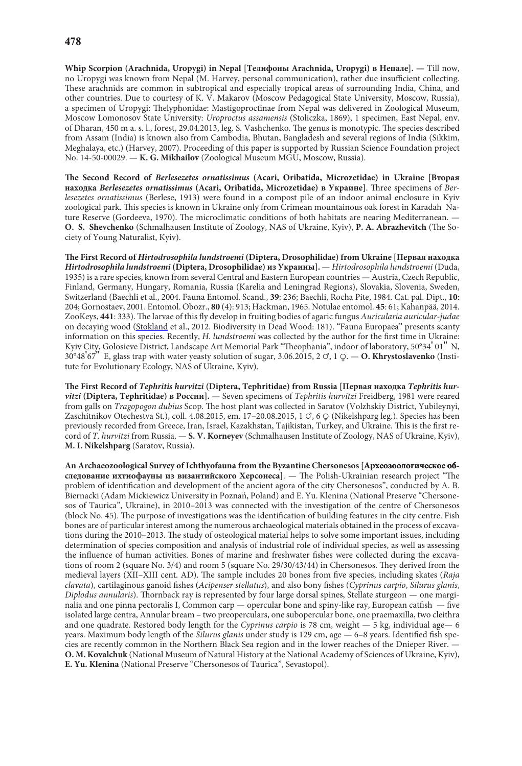**Whip Scorpion (Arachnida, Uropygi) in Nepal [Телифоны Arachnida, Uropygi) в Непале]. —** Till now, no Uropygi was known from Nepal (M. Harvey, personal communication), rather due insufficient collecting. These arachnids are common in subtropical and especially tropical areas of surrounding India, China, and other countries. Due to courtesy of K. V. Makarov (Moscow Pedagogical State University, Moscow, Russia), a specimen of Uropygi: Thelyphonidae: Mastigoproctinae from Nepal was delivered in Zoological Museum, Moscow Lomonosov State University: *Uroproctus assamensis* (Stoliczka, 1869), 1 specimen, East Nepal, env. of Dharan, 450 m a. s. l., forest, 29.04.2013, leg. S. Vashchenko. The genus is monotypic. The species described from Assam (India) is known also from Cambodia, Bhutan, Bangladesh and several regions of India (Sikkim, Meghalaya, etc.) (Harvey, 2007). Proceeding of this paper is supported by Russian Science Foundation project No. 14-50-00029. — **K. G. Mikhailov** (Zoological Museum MGU, Moscow, Russia).

**The Second Record of** *Berlesezetes ornatissimus* **(Acari, Oribatida, Microzetidae) in Ukraine [Вторая находка** *Berlesezetes ornatissimus* **(Acari, Oribatida, Microzetidae) в Украине]**. Three specimens of *Berlesezetes ornatissimus* (Berlese, 1913) were found in a compost pile of an indoor animal enclosure in Kyiv zoological park. This species is known in Ukraine only from Crimean mountainous oak forest in Karadah Nature Reserve (Gordeeva, 1970). The microclimatic conditions of both habitats are nearing Mediterranean. — **O. S. Shevchenko** (Schmalhausen Institute of Zoology, NAS of Ukraine, Kyiv), **P. A. Abrazhevitch** (The Society of Young Naturalist, Kyiv).

**The First Record of** *Hirtodrosophila lundstroemi* **(Diptera, Drosophilidae) from Ukraine [Первая находка** *Hirtodrosophila lundstroemi* **(Diptera, Drosophilidae) из Украины].** — *Hirtodrosophila lundstroemi* (Duda, 1935) is a rare species, known from several Central and Eastern European countries — Austria, Czech Republic, Finland, Germany, Hungary, Romania, Russia (Karelia and Leningrad Regions), Slovakia, Slovenia, Sweden, Switzerland (Baechli et al., 2004. Fauna Entomol. Scand., **39**: 236; Baechli, Rocha Pite, 1984. Cat. pal. Dipt., **10**: 204; Gornostaev, 2001. Entomol. Obozr., **80** (4): 913; Hackman, 1965. Notulae entomol. **45**: 61; Kahanpää, 2014. ZooKeys, **441**: 333). The larvae of this fly develop in fruiting bodies of agaric fungus *Auricularia auricular-judae* on decaying wood (Stokland et al., 2012. Biodiversity in Dead Wood: 181). "Fauna Europaea" presents scanty information on this species. Recently, *H. lundstroemi* was collected by the author for the first time in Ukraine: Kyiv City, Golosieve District, Landscape Art Memorial Park "Theophania", indoor of laboratory, 50°34' 01" N, 30°48'67" E, glass trap with water yeasty solution of sugar, 3.06.2015, 2 {, 1 }. — **O. Khrystoslavenko** (Institute for Evolutionary Ecology, NAS of Ukraine, Kyiv).

**The First Record of** *Tephritis hurvitzi* **(Diptera, Tephritidae) from Russia [Первая находка** *Tephritis hurvitzi* **(Diptera, Tephritidae) в России].** — Seven specimens of *Tephritis hurvitzi* Freidberg, 1981 were reared from galls on *Tragopogon dubius* Scop. The host plant was collected in Saratov (Volzhskiy District, Yubileynyi, Zaschitnikov Otechestva St.), coll. 4.08.2015, em. 17-20.08.2015, 1  $\circ$ , 6  $\circ$  (Nikelshparg leg.). Species has been previously recorded from Greece, Iran, Israel, Kazakhstan, Tajikistan, Turkey, and Ukraine. This is the first record of *T. hurvitzi* from Russia. — **S. V. Korneyev** (Schmalhausen Institute of Zoology, NAS of Ukraine, Kyiv), **M. I. Nikelshparg** (Saratov, Russia).

Ап Archaeozoological Survey of Ichthyofauna from the Byzantine Chersonesos [Археозоологическое об**следование ихтиофауны из византийского Херсонеса]**. — The Polish-Ukrainian research project "The problem of identification and development of the ancient agora of the city Chersonesos", conducted by A. B. Biernacki (Adam Mickiewicz University in Poznań, Poland) and E. Yu. Klenina (National Preserve "Chersonesos of Taurica", Ukraine), in 2010–2013 was connected with the investigation of the centre of Chersonesos (block No. 45). The purpose of investigations was the identification of building features in the city centre. Fish bones are of particular interest among the numerous archaeological materials obtained in the process of excavations during the 2010–2013. The study of osteological material helps to solve some important issues, including determination of species composition and analysis of industrial role of individual species, as well as assessing the influence of human activities. Bones of marine and freshwater fishes were collected during the excavations of room 2 (square No. 3/4) and room 5 (square No. 29/30/43/44) in Chersonesos. They derived from the medieval layers (XII–XIII cent. AD). The sample includes 20 bones from five species, including skates (*Raja clavata*), cartilaginous ganoid fishes (*Acipenser stellatus*), and also bony fishes (*Cyprinus carpio*, *Silurus glanis*, *Diplodus annularis*). Thornback ray is represented by four large dorsal spines, Stellate sturgeon — one marginalia and one pinna pectoralis I, Common carp — opercular bone and spiny-like ray, European catfish — five isolated large centra, Annular bream – two preoperculars, one subopercular bone, one praemaxilla, two cleithra and one quadrate. Restored body length for the *Cyprinus carpio* is 78 cm, weight — 5 kg, individual age— 6 years. Maximum body length of the *Silurus glanis* under study is 129 cm, age — 6–8 years. Identified fish species are recently common in the Northern Black Sea region and in the lower reaches of the Dnieper River. — **O. M. Kovalchuk** (National Museum of Natural History at the National Academy of Sciences of Ukraine, Kyiv), **E. Yu. Klenina** (National Preserve "Chersonesos of Taurica", Sevastopol).